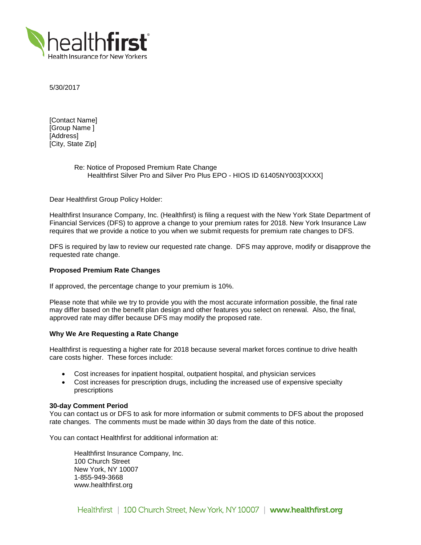

5/30/2017

[Contact Name] [Group Name ] [Address] [City, State Zip]

# Re: Notice of Proposed Premium Rate Change Healthfirst Silver Pro and Silver Pro Plus EPO - HIOS ID 61405NY003[XXXX]

Dear Healthfirst Group Policy Holder:

Healthfirst Insurance Company, Inc. (Healthfirst) is filing a request with the New York State Department of Financial Services (DFS) to approve a change to your premium rates for 2018. New York Insurance Law requires that we provide a notice to you when we submit requests for premium rate changes to DFS.

DFS is required by law to review our requested rate change. DFS may approve, modify or disapprove the requested rate change.

## **Proposed Premium Rate Changes**

If approved, the percentage change to your premium is 10%.

Please note that while we try to provide you with the most accurate information possible, the final rate may differ based on the benefit plan design and other features you select on renewal. Also, the final, approved rate may differ because DFS may modify the proposed rate.

# **Why We Are Requesting a Rate Change**

Healthfirst is requesting a higher rate for 2018 because several market forces continue to drive health care costs higher. These forces include:

- Cost increases for inpatient hospital, outpatient hospital, and physician services
- Cost increases for prescription drugs, including the increased use of expensive specialty prescriptions

### **30-day Comment Period**

You can contact us or DFS to ask for more information or submit comments to DFS about the proposed rate changes. The comments must be made within 30 days from the date of this notice.

You can contact Healthfirst for additional information at:

Healthfirst Insurance Company, Inc. 100 Church Street New York, NY 10007 1-855-949-3668 www.healthfirst.org